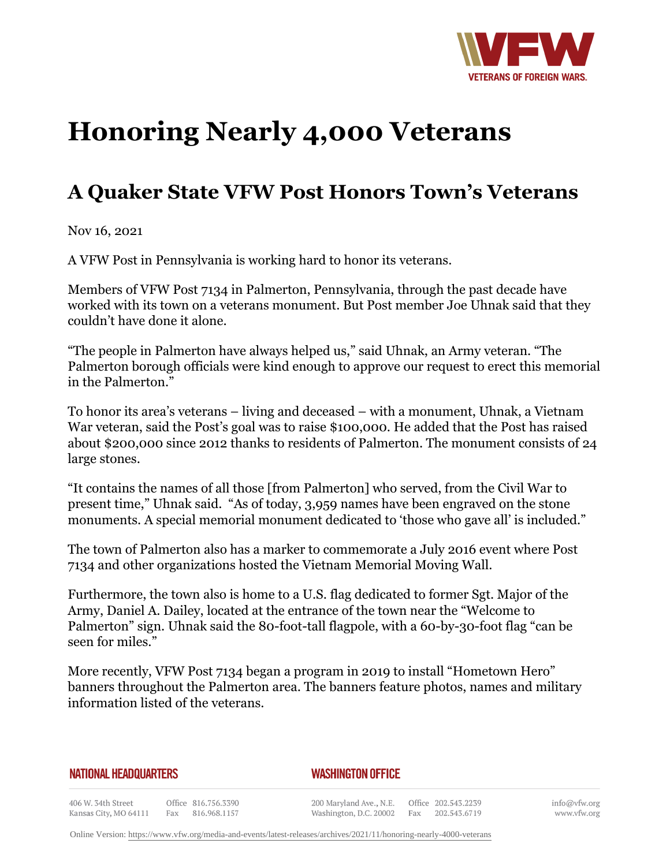

## **Honoring Nearly 4,000 Veterans**

## **A Quaker State VFW Post Honors Town's Veterans**

Nov 16, 2021

A VFW Post in Pennsylvania is working hard to honor its veterans.

Members of VFW Post 7134 in Palmerton, Pennsylvania, through the past decade have worked with its town on a veterans monument. But Post member Joe Uhnak said that they couldn't have done it alone.

"The people in Palmerton have always helped us," said Uhnak, an Army veteran. "The Palmerton borough officials were kind enough to approve our request to erect this memorial in the Palmerton<sup>"</sup>

To honor its area's veterans – living and deceased – with a monument, Uhnak, a Vietnam War veteran, said the Post's goal was to raise \$100,000. He added that the Post has raised about \$200,000 since 2012 thanks to residents of Palmerton. The monument consists of 24 large stones.

"It contains the names of all those [from Palmerton] who served, from the Civil War to present time," Uhnak said. "As of today, 3,959 names have been engraved on the stone monuments. A special memorial monument dedicated to 'those who gave all' is included."

The town of Palmerton also has a marker to commemorate a July 2016 event where Post 7134 and other organizations hosted the Vietnam Memorial Moving Wall.

Furthermore, the town also is home to a U.S. flag dedicated to former Sgt. Major of the Army, Daniel A. Dailey, located at the entrance of the town near the "Welcome to Palmerton" sign. Uhnak said the 80-foot-tall flagpole, with a 60-by-30-foot flag "can be seen for miles."

More recently, VFW Post 7134 began a program in 2019 to install "Hometown Hero" banners throughout the Palmerton area. The banners feature photos, names and military information listed of the veterans.

## **NATIONAL HEADQUARTERS**

## *WASHINGTON OFFICE*

406 W. 34th Street Office 816.756.3390 Kansas City, MO 64111 Fax 816.968.1157

200 Maryland Ave., N.E. Washington, D.C. 20002

Office 202.543.2239 Fax 202.543.6719 info@vfw.org www.vfw.org

Online Version:<https://www.vfw.org/media-and-events/latest-releases/archives/2021/11/honoring-nearly-4000-veterans>